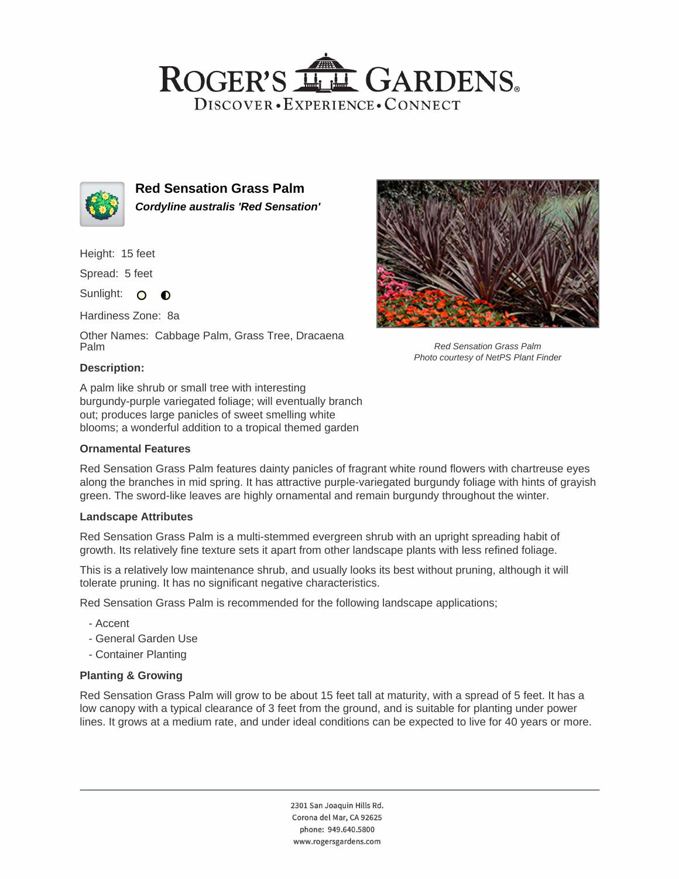## ROGER'S LL GARDENS. DISCOVER · EXPERIENCE · CONNECT



**Red Sensation Grass Palm Cordyline australis 'Red Sensation'**

Height: 15 feet

Spread: 5 feet

Sunlight: O  $\bullet$ 

Hardiness Zone: 8a

Other Names: Cabbage Palm, Grass Tree, Dracaena Palm



Red Sensation Grass Palm Photo courtesy of NetPS Plant Finder

## **Description:**

A palm like shrub or small tree with interesting burgundy-purple variegated foliage; will eventually branch out; produces large panicles of sweet smelling white blooms; a wonderful addition to a tropical themed garden

#### **Ornamental Features**

Red Sensation Grass Palm features dainty panicles of fragrant white round flowers with chartreuse eyes along the branches in mid spring. It has attractive purple-variegated burgundy foliage with hints of grayish green. The sword-like leaves are highly ornamental and remain burgundy throughout the winter.

#### **Landscape Attributes**

Red Sensation Grass Palm is a multi-stemmed evergreen shrub with an upright spreading habit of growth. Its relatively fine texture sets it apart from other landscape plants with less refined foliage.

This is a relatively low maintenance shrub, and usually looks its best without pruning, although it will tolerate pruning. It has no significant negative characteristics.

Red Sensation Grass Palm is recommended for the following landscape applications;

- Accent
- General Garden Use
- Container Planting

## **Planting & Growing**

Red Sensation Grass Palm will grow to be about 15 feet tall at maturity, with a spread of 5 feet. It has a low canopy with a typical clearance of 3 feet from the ground, and is suitable for planting under power lines. It grows at a medium rate, and under ideal conditions can be expected to live for 40 years or more.

> 2301 San Joaquin Hills Rd. Corona del Mar, CA 92625 phone: 949.640.5800 www.rogersgardens.com